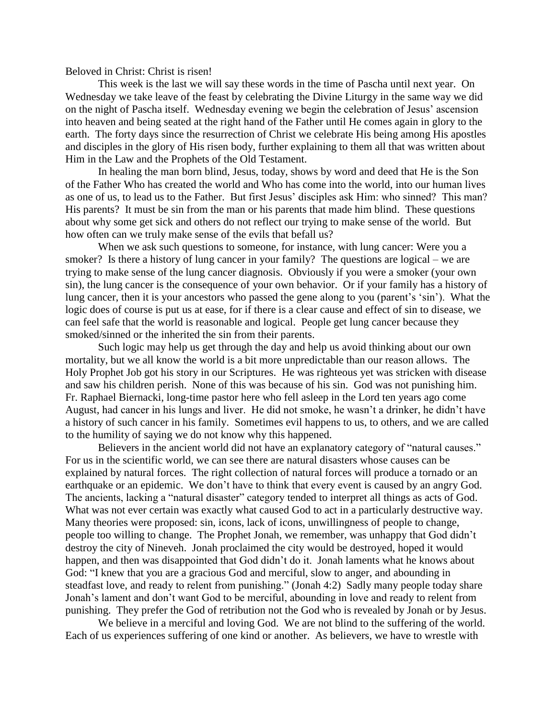Beloved in Christ: Christ is risen!

This week is the last we will say these words in the time of Pascha until next year. On Wednesday we take leave of the feast by celebrating the Divine Liturgy in the same way we did on the night of Pascha itself. Wednesday evening we begin the celebration of Jesus' ascension into heaven and being seated at the right hand of the Father until He comes again in glory to the earth. The forty days since the resurrection of Christ we celebrate His being among His apostles and disciples in the glory of His risen body, further explaining to them all that was written about Him in the Law and the Prophets of the Old Testament.

In healing the man born blind, Jesus, today, shows by word and deed that He is the Son of the Father Who has created the world and Who has come into the world, into our human lives as one of us, to lead us to the Father. But first Jesus' disciples ask Him: who sinned? This man? His parents? It must be sin from the man or his parents that made him blind. These questions about why some get sick and others do not reflect our trying to make sense of the world. But how often can we truly make sense of the evils that befall us?

When we ask such questions to someone, for instance, with lung cancer: Were you a smoker? Is there a history of lung cancer in your family? The questions are logical – we are trying to make sense of the lung cancer diagnosis. Obviously if you were a smoker (your own sin), the lung cancer is the consequence of your own behavior. Or if your family has a history of lung cancer, then it is your ancestors who passed the gene along to you (parent's 'sin'). What the logic does of course is put us at ease, for if there is a clear cause and effect of sin to disease, we can feel safe that the world is reasonable and logical. People get lung cancer because they smoked/sinned or the inherited the sin from their parents.

Such logic may help us get through the day and help us avoid thinking about our own mortality, but we all know the world is a bit more unpredictable than our reason allows. The Holy Prophet Job got his story in our Scriptures. He was righteous yet was stricken with disease and saw his children perish. None of this was because of his sin. God was not punishing him. Fr. Raphael Biernacki, long-time pastor here who fell asleep in the Lord ten years ago come August, had cancer in his lungs and liver. He did not smoke, he wasn't a drinker, he didn't have a history of such cancer in his family. Sometimes evil happens to us, to others, and we are called to the humility of saying we do not know why this happened.

Believers in the ancient world did not have an explanatory category of "natural causes." For us in the scientific world, we can see there are natural disasters whose causes can be explained by natural forces. The right collection of natural forces will produce a tornado or an earthquake or an epidemic. We don't have to think that every event is caused by an angry God. The ancients, lacking a "natural disaster" category tended to interpret all things as acts of God. What was not ever certain was exactly what caused God to act in a particularly destructive way. Many theories were proposed: sin, icons, lack of icons, unwillingness of people to change, people too willing to change. The Prophet Jonah, we remember, was unhappy that God didn't destroy the city of Nineveh. Jonah proclaimed the city would be destroyed, hoped it would happen, and then was disappointed that God didn't do it. Jonah laments what he knows about God: "I knew that you are a gracious God and merciful, slow to anger, and abounding in steadfast love, and ready to relent from punishing." (Jonah 4:2) Sadly many people today share Jonah's lament and don't want God to be merciful, abounding in love and ready to relent from punishing. They prefer the God of retribution not the God who is revealed by Jonah or by Jesus.

We believe in a merciful and loving God. We are not blind to the suffering of the world. Each of us experiences suffering of one kind or another. As believers, we have to wrestle with